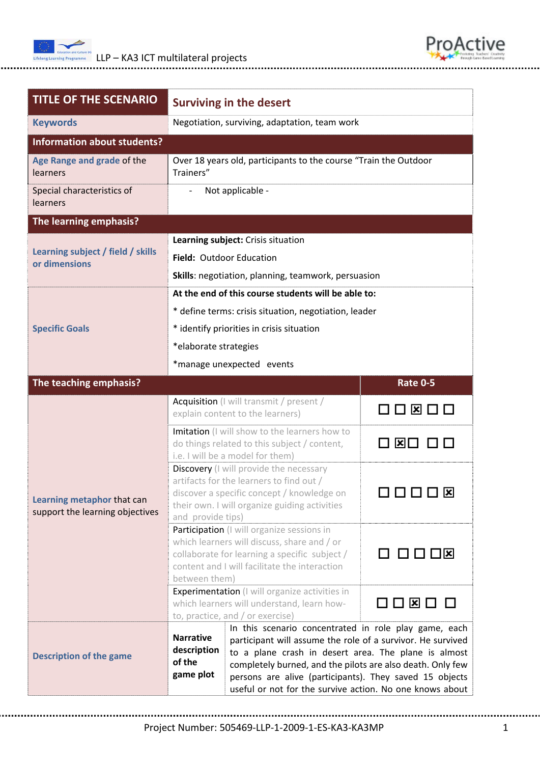





| <b>TITLE OF THE SCENARIO</b>                                  | <b>Surviving in the desert</b>                                                                                                                                                                                                                                                                                                                                                                                              |                               |  |  |
|---------------------------------------------------------------|-----------------------------------------------------------------------------------------------------------------------------------------------------------------------------------------------------------------------------------------------------------------------------------------------------------------------------------------------------------------------------------------------------------------------------|-------------------------------|--|--|
| <b>Keywords</b>                                               | Negotiation, surviving, adaptation, team work                                                                                                                                                                                                                                                                                                                                                                               |                               |  |  |
| <b>Information about students?</b>                            |                                                                                                                                                                                                                                                                                                                                                                                                                             |                               |  |  |
| Age Range and grade of the<br>learners                        | Over 18 years old, participants to the course "Train the Outdoor<br>Trainers"                                                                                                                                                                                                                                                                                                                                               |                               |  |  |
| Special characteristics of<br>learners                        | Not applicable -                                                                                                                                                                                                                                                                                                                                                                                                            |                               |  |  |
| The learning emphasis?                                        |                                                                                                                                                                                                                                                                                                                                                                                                                             |                               |  |  |
|                                                               | Learning subject: Crisis situation                                                                                                                                                                                                                                                                                                                                                                                          |                               |  |  |
| Learning subject / field / skills<br>or dimensions            | Field: Outdoor Education                                                                                                                                                                                                                                                                                                                                                                                                    |                               |  |  |
|                                                               | Skills: negotiation, planning, teamwork, persuasion                                                                                                                                                                                                                                                                                                                                                                         |                               |  |  |
|                                                               | At the end of this course students will be able to:                                                                                                                                                                                                                                                                                                                                                                         |                               |  |  |
|                                                               | * define terms: crisis situation, negotiation, leader                                                                                                                                                                                                                                                                                                                                                                       |                               |  |  |
| <b>Specific Goals</b>                                         | * identify priorities in crisis situation                                                                                                                                                                                                                                                                                                                                                                                   |                               |  |  |
|                                                               | *elaborate strategies                                                                                                                                                                                                                                                                                                                                                                                                       |                               |  |  |
|                                                               | *manage unexpected events                                                                                                                                                                                                                                                                                                                                                                                                   |                               |  |  |
| The teaching emphasis?                                        |                                                                                                                                                                                                                                                                                                                                                                                                                             | <b>Rate 0-5</b>               |  |  |
| Learning metaphor that can<br>support the learning objectives | Acquisition (I will transmit / present /<br>explain content to the learners)                                                                                                                                                                                                                                                                                                                                                | ᢂ□□                           |  |  |
|                                                               | Imitation (I will show to the learners how to<br>do things related to this subject / content,<br>i.e. I will be a model for them)                                                                                                                                                                                                                                                                                           | ⊠⊡                            |  |  |
|                                                               | Discovery (I will provide the necessary<br>artifacts for the learners to find out /<br>discover a specific concept / knowledge on<br>their own. I will organize guiding activities<br>and provide tips)                                                                                                                                                                                                                     | Ι×                            |  |  |
|                                                               | Participation (I will organize sessions in<br>which learners will discuss, share and / or<br>collaborate for learning a specific subject /<br>content and I will facilitate the interaction<br>between them)                                                                                                                                                                                                                | $\Box$ $\Box$ $\Box$ $\times$ |  |  |
|                                                               | <b>Experimentation</b> (I will organize activities in<br>which learners will understand, learn how-<br>to, practice, and / or exercise)                                                                                                                                                                                                                                                                                     | 00¤00                         |  |  |
| <b>Description of the game</b>                                | In this scenario concentrated in role play game, each<br><b>Narrative</b><br>participant will assume the role of a survivor. He survived<br>description<br>to a plane crash in desert area. The plane is almost<br>of the<br>completely burned, and the pilots are also death. Only few<br>game plot<br>persons are alive (participants). They saved 15 objects<br>useful or not for the survive action. No one knows about |                               |  |  |

Project Number: 505469‐LLP‐1‐2009‐1‐ES‐KA3‐KA3MP 1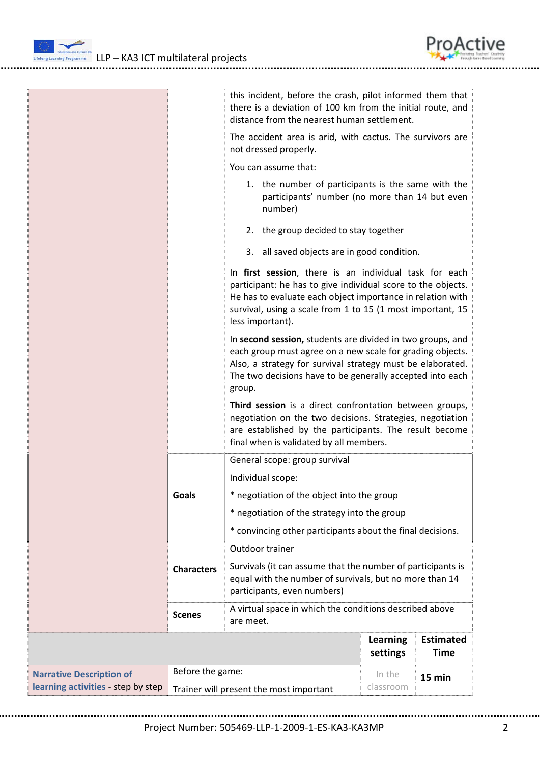

 $\frac{1}{2}$  LLP – KA3 ICT multilateral projects



|                                    |                                         | this incident, before the crash, pilot informed them that<br>there is a deviation of 100 km from the initial route, and<br>distance from the nearest human settlement.                                                                                                 |                             |                                 |  |
|------------------------------------|-----------------------------------------|------------------------------------------------------------------------------------------------------------------------------------------------------------------------------------------------------------------------------------------------------------------------|-----------------------------|---------------------------------|--|
|                                    |                                         | The accident area is arid, with cactus. The survivors are<br>not dressed properly.                                                                                                                                                                                     |                             |                                 |  |
|                                    |                                         | You can assume that:                                                                                                                                                                                                                                                   |                             |                                 |  |
|                                    |                                         | 1. the number of participants is the same with the<br>participants' number (no more than 14 but even<br>number)                                                                                                                                                        |                             |                                 |  |
|                                    |                                         | 2. the group decided to stay together                                                                                                                                                                                                                                  |                             |                                 |  |
|                                    |                                         | 3. all saved objects are in good condition.                                                                                                                                                                                                                            |                             |                                 |  |
|                                    |                                         | In first session, there is an individual task for each<br>participant: he has to give individual score to the objects.<br>He has to evaluate each object importance in relation with<br>survival, using a scale from 1 to 15 (1 most important, 15<br>less important). |                             |                                 |  |
|                                    |                                         | In second session, students are divided in two groups, and<br>each group must agree on a new scale for grading objects.<br>Also, a strategy for survival strategy must be elaborated.<br>The two decisions have to be generally accepted into each<br>group.           |                             |                                 |  |
|                                    | Goals                                   | Third session is a direct confrontation between groups,<br>negotiation on the two decisions. Strategies, negotiation<br>are established by the participants. The result become<br>final when is validated by all members.                                              |                             |                                 |  |
|                                    |                                         | General scope: group survival                                                                                                                                                                                                                                          |                             |                                 |  |
|                                    |                                         | Individual scope:                                                                                                                                                                                                                                                      |                             |                                 |  |
|                                    |                                         | * negotiation of the object into the group                                                                                                                                                                                                                             |                             |                                 |  |
|                                    |                                         | * negotiation of the strategy into the group                                                                                                                                                                                                                           |                             |                                 |  |
|                                    |                                         | * convincing other participants about the final decisions.                                                                                                                                                                                                             |                             |                                 |  |
|                                    |                                         | Outdoor trainer                                                                                                                                                                                                                                                        |                             |                                 |  |
|                                    | <b>Characters</b>                       | Survivals (it can assume that the number of participants is<br>equal with the number of survivals, but no more than 14<br>participants, even numbers)                                                                                                                  |                             |                                 |  |
|                                    | <b>Scenes</b>                           | A virtual space in which the conditions described above<br>are meet.                                                                                                                                                                                                   |                             |                                 |  |
|                                    |                                         |                                                                                                                                                                                                                                                                        | <b>Learning</b><br>settings | <b>Estimated</b><br><b>Time</b> |  |
| <b>Narrative Description of</b>    | Before the game:                        |                                                                                                                                                                                                                                                                        | In the                      | 15 min                          |  |
| learning activities - step by step | Trainer will present the most important |                                                                                                                                                                                                                                                                        | classroom                   |                                 |  |

Project Number: 505469‐LLP‐1‐2009‐1‐ES‐KA3‐KA3MP 2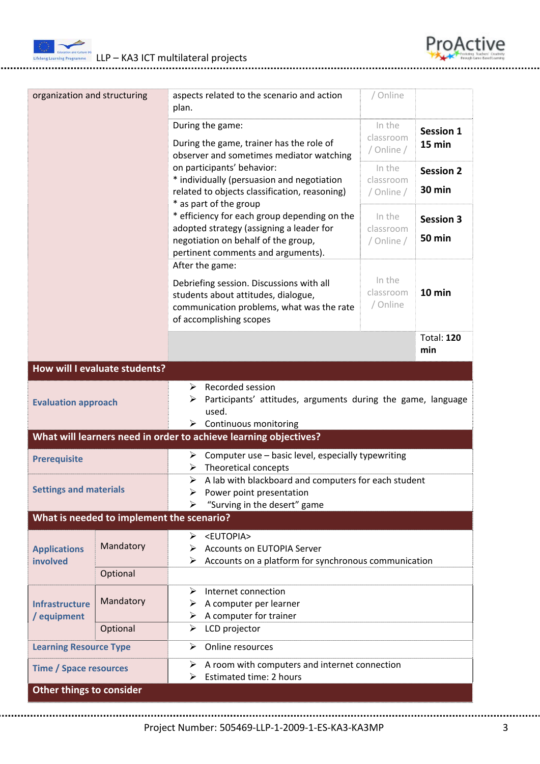

| organization and structuring         |                                           | aspects related to the scenario and action<br>plan.                                                                                                     | / Online                |                          |  |
|--------------------------------------|-------------------------------------------|---------------------------------------------------------------------------------------------------------------------------------------------------------|-------------------------|--------------------------|--|
|                                      |                                           | During the game:                                                                                                                                        | In the                  | <b>Session 1</b>         |  |
|                                      |                                           | classroom<br>During the game, trainer has the role of<br>/ Online /<br>observer and sometimes mediator watching<br>on participants' behavior:<br>In the |                         | 15 min                   |  |
|                                      |                                           |                                                                                                                                                         |                         | <b>Session 2</b>         |  |
|                                      |                                           | * individually (persuasion and negotiation<br>related to objects classification, reasoning)                                                             | classroom<br>/ Online / | 30 min                   |  |
|                                      |                                           | * as part of the group<br>* efficiency for each group depending on the                                                                                  | <b>Session 3</b>        |                          |  |
|                                      |                                           | adopted strategy (assigning a leader for                                                                                                                | <b>50 min</b>           |                          |  |
|                                      |                                           | negotiation on behalf of the group,<br>pertinent comments and arguments).                                                                               |                         |                          |  |
|                                      |                                           | After the game:                                                                                                                                         |                         |                          |  |
|                                      |                                           | Debriefing session. Discussions with all                                                                                                                |                         |                          |  |
|                                      |                                           | students about attitudes, dialogue,                                                                                                                     | classroom<br>/ Online   | 10 min                   |  |
|                                      |                                           | communication problems, what was the rate<br>of accomplishing scopes                                                                                    |                         |                          |  |
|                                      |                                           |                                                                                                                                                         |                         | <b>Total: 120</b><br>min |  |
|                                      | How will I evaluate students?             |                                                                                                                                                         |                         |                          |  |
|                                      |                                           | Recorded session<br>➤                                                                                                                                   |                         |                          |  |
| <b>Evaluation approach</b>           |                                           | Participants' attitudes, arguments during the game, language                                                                                            |                         |                          |  |
|                                      |                                           | used.<br>$\triangleright$ Continuous monitoring                                                                                                         |                         |                          |  |
|                                      |                                           | What will learners need in order to achieve learning objectives?                                                                                        |                         |                          |  |
| <b>Prerequisite</b>                  |                                           | $\triangleright$ Computer use – basic level, especially typewriting<br>Theoretical concepts<br>➤                                                        |                         |                          |  |
| <b>Settings and materials</b>        |                                           | $\triangleright$ A lab with blackboard and computers for each student                                                                                   |                         |                          |  |
|                                      |                                           | Power point presentation<br>"Surving in the desert" game                                                                                                |                         |                          |  |
|                                      | What is needed to implement the scenario? |                                                                                                                                                         |                         |                          |  |
|                                      |                                           | > <eutopia></eutopia>                                                                                                                                   |                         |                          |  |
| <b>Applications</b><br>involved      | Mandatory                                 | <b>Accounts on EUTOPIA Server</b><br>⋗                                                                                                                  |                         |                          |  |
|                                      | Optional                                  | Accounts on a platform for synchronous communication                                                                                                    |                         |                          |  |
| <b>Infrastructure</b><br>/ equipment |                                           | Internet connection<br>➤                                                                                                                                |                         |                          |  |
|                                      | Mandatory                                 | A computer per learner<br>➤                                                                                                                             |                         |                          |  |
|                                      | Optional                                  | $\triangleright$ A computer for trainer<br>LCD projector<br>➤                                                                                           |                         |                          |  |
|                                      |                                           | Online resources<br>➤                                                                                                                                   |                         |                          |  |
| <b>Learning Resource Type</b>        |                                           |                                                                                                                                                         |                         |                          |  |
| <b>Time / Space resources</b>        |                                           | A room with computers and internet connection<br>➤<br>Estimated time: 2 hours                                                                           |                         |                          |  |
| Other things to consider             |                                           |                                                                                                                                                         |                         |                          |  |

ProActive